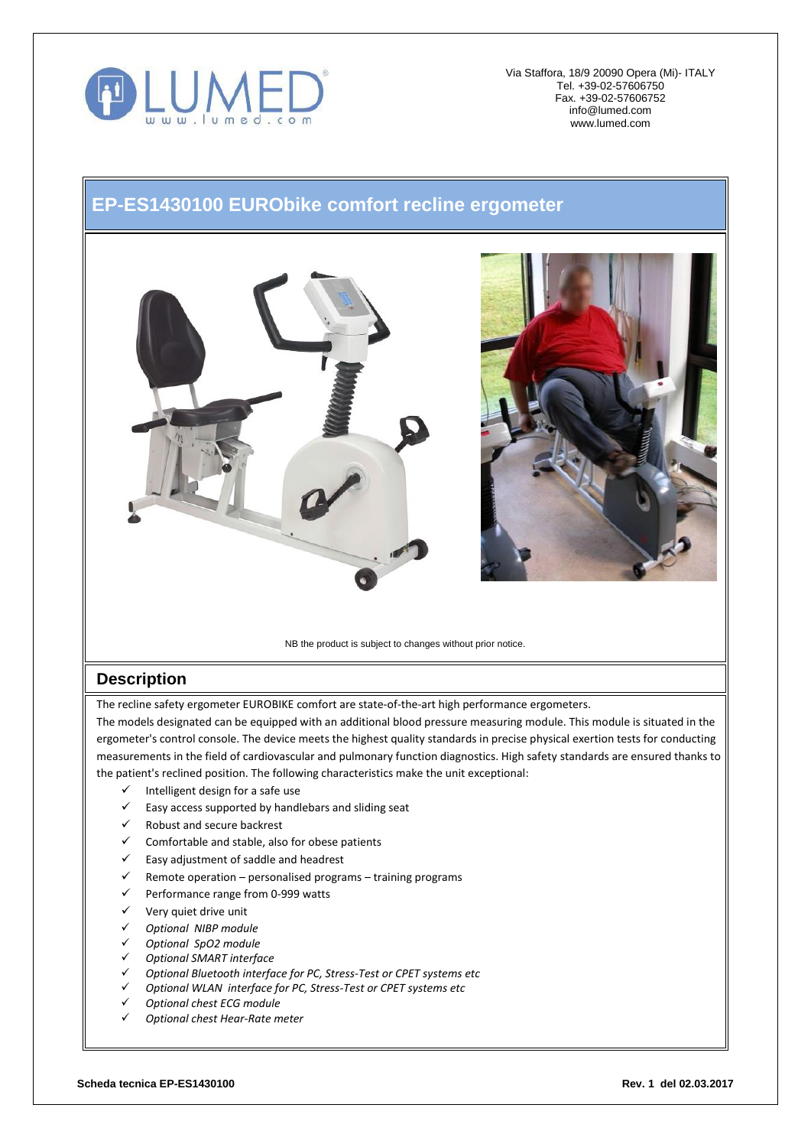

Via Staffora, 18/9 20090 Opera (Mi)- ITALY Tel. +39-02-57606750 Fax. +39-02-57606752 [info@lumed.com](mailto:lumed@libero.it) [www.lumed.com](http://www.lumed.com/)

## **EP-ES1430100 EURObike comfort recline ergometer**





NB the product is subject to changes without prior notice.

## **Description**

The recline safety ergometer EUROBIKE comfort are state-of-the-art high performance ergometers.

The models designated can be equipped with an additional blood pressure measuring module. This module is situated in the ergometer's control console. The device meets the highest quality standards in precise physical exertion tests for conducting measurements in the field of cardiovascular and pulmonary function diagnostics. High safety standards are ensured thanks to the patient's reclined position. The following characteristics make the unit exceptional:

- $\checkmark$  Intelligent design for a safe use
- Easy access supported by handlebars and sliding seat
- $\checkmark$  Robust and secure backrest
- Comfortable and stable, also for obese patients
- $\checkmark$  Easy adjustment of saddle and headrest
- $\checkmark$  Remote operation personalised programs training programs
- $\checkmark$  Performance range from 0-999 watts
- $\checkmark$  Very quiet drive unit
- *Optional NIBP module*
- *Optional SpO2 module*
- *Optional SMART interface*
- *Optional Bluetooth interface for PC, Stress-Test or CPET systems etc*
- *Optional WLAN interface for PC, Stress-Test or CPET systems etc*
- *Optional chest ECG module*
- *Optional chest Hear-Rate meter*